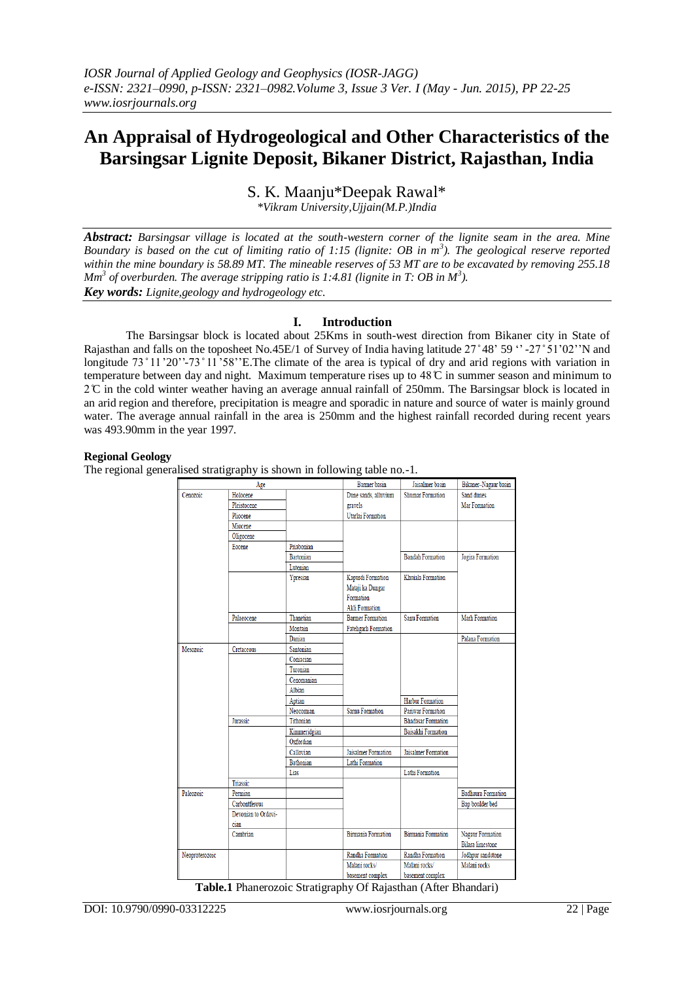# **An Appraisal of Hydrogeological and Other Characteristics of the Barsingsar Lignite Deposit, Bikaner District, Rajasthan, India**

S. K. Maanju\*Deepak Rawal\*

*\*Vikram University,Ujjain(M.P.)India*

*Abstract: Barsingsar village is located at the south-western corner of the lignite seam in the area. Mine Boundary is based on the cut of limiting ratio of 1:15 (lignite: OB in m<sup>3</sup> ). The geological reserve reported within the mine boundary is 58.89 MT. The mineable reserves of 53 MT are to be excavated by removing 255.18 Mm<sup>3</sup> of overburden. The average stripping ratio is 1:4.81 (lignite in T: OB in M<sup>3</sup> ). Key words: Lignite,geology and hydrogeology etc.*

## **I. Introduction**

The Barsingsar block is located about 25Kms in south-west direction from Bikaner city in State of Rajasthan and falls on the toposheet No.45E/1 of Survey of India having latitude 27°48' 59  $\cdot$  -27° 51'02''N and longitude 73 ° 11 '20''-73 ° 11 '58''E. The climate of the area is typical of dry and arid regions with variation in temperature between day and night. Maximum temperature rises up to 48 °C in summer season and minimum to 2 C̊ in the cold winter weather having an average annual rainfall of 250mm. The Barsingsar block is located in an arid region and therefore, precipitation is meagre and sporadic in nature and source of water is mainly ground water. The average annual rainfall in the area is 250mm and the highest rainfall recorded during recent years was 493.90mm in the year 1997.

## **Regional Geology**

The regional generalised stratigraphy is shown in following table no.-1.

| Age                                                            |                     | <b>Barmer</b> basin | Jaisalmer basin            | Bikaner-Nagaur basin       |                           |
|----------------------------------------------------------------|---------------------|---------------------|----------------------------|----------------------------|---------------------------|
| Cenozoic                                                       | Holocene            |                     | Dune sands, alluvium       | <b>Shumar Formation</b>    | Sand dunes                |
|                                                                | Pleistocene         |                     | gravels                    |                            | <b>Mar Formation</b>      |
|                                                                | Pliocene            |                     | Utarlai Formation          |                            |                           |
|                                                                | Miocene             |                     |                            |                            |                           |
|                                                                | Oligocene           |                     |                            |                            |                           |
|                                                                | Eocene              | Priabonian          |                            |                            |                           |
|                                                                |                     | <b>Bartonian</b>    |                            | <b>Bandah Formation</b>    | Jogira Formation          |
|                                                                |                     | Lutenian            |                            |                            |                           |
|                                                                |                     | Ypresian            | Kapurdi Formation          | Khuiala Formation          |                           |
|                                                                |                     |                     | Mataji ka Dungar           |                            |                           |
|                                                                |                     |                     | Formation                  |                            |                           |
|                                                                |                     |                     | <b>Akli Formation</b>      |                            |                           |
|                                                                | Palaeocene          | Thanetian           | <b>Barmer Formation</b>    | <b>Sanu Formation</b>      | Marh Formation            |
|                                                                |                     | Montain             | <b>Fatehgarh Formation</b> |                            |                           |
|                                                                |                     | Danian              |                            |                            | Palana Formation          |
| Mesozoic                                                       | Cretaceous          | Santonian           |                            |                            |                           |
|                                                                |                     | Coniacian           |                            |                            |                           |
|                                                                |                     | Turonian            |                            |                            |                           |
|                                                                |                     | Cenomanian          |                            |                            |                           |
|                                                                |                     | Albian              |                            |                            |                           |
|                                                                |                     | Aptian              |                            | Harbur Formation           |                           |
|                                                                |                     | Neocomian           | Sarnu Formation            | Pariwar Formation          |                           |
|                                                                | Jurassic            | Tithonian           |                            | <b>Bhadasar Formation</b>  |                           |
|                                                                |                     | Kimmeridgian        |                            | Baisakhi Formation         |                           |
|                                                                |                     | Oxfordian           |                            |                            |                           |
|                                                                |                     | Callovian           | Jaisalmer Formation        | <b>Jaisalmer Formation</b> |                           |
|                                                                |                     | <b>Bathonian</b>    | Lathi Formation            |                            |                           |
|                                                                |                     | Lias                |                            | Lathi Formation            |                           |
|                                                                | Triassic            |                     |                            |                            |                           |
| Paleozoic                                                      | Permian             |                     |                            |                            | <b>Badhaura Formation</b> |
|                                                                | Carbontferous       |                     |                            |                            | Bap boulder bed           |
|                                                                | Devonian to Ordovi- |                     |                            |                            |                           |
|                                                                | cian                |                     |                            |                            |                           |
|                                                                | Cambrian            |                     | <b>Birmania Formation</b>  | <b>Birmania Formation</b>  | <b>Nagaur Formation</b>   |
|                                                                |                     |                     |                            |                            | <b>Bilara</b> limestone   |
| Neoproterozoic                                                 |                     |                     | Randha Formation           | Randha Formation           | Jodhpur sandstone         |
|                                                                |                     |                     | Malani rocks/              | Malani rocks/              | Malani rocks              |
|                                                                |                     |                     | basement complex           | basement complex           |                           |
| Table.1 Phanerozoic Stratigraphy Of Rajasthan (After Bhandari) |                     |                     |                            |                            |                           |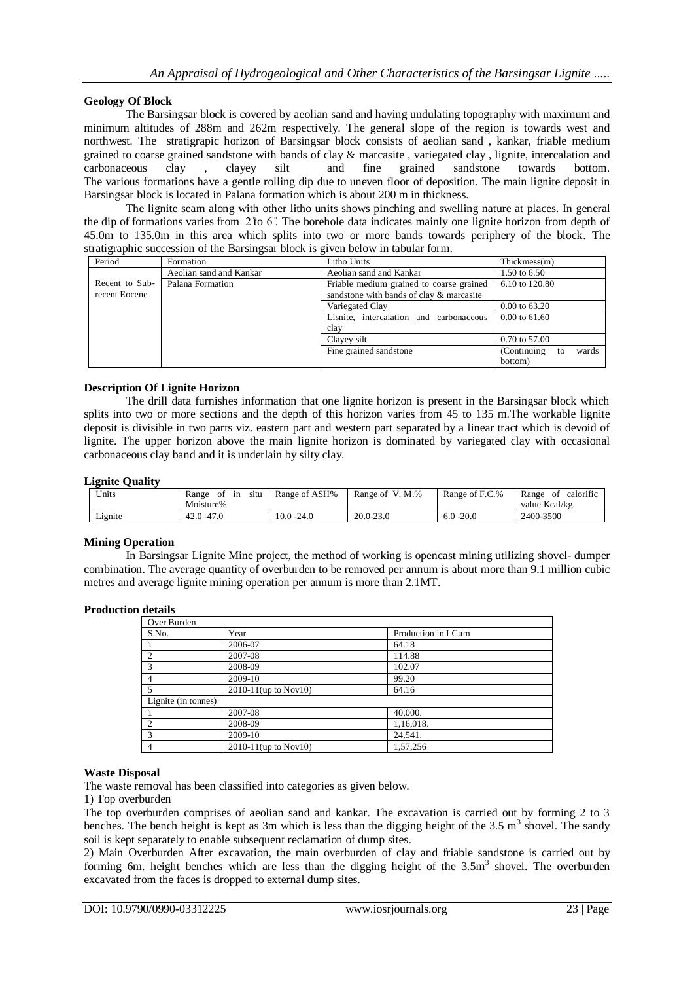## **Geology Of Block**

The Barsingsar block is covered by aeolian sand and having undulating topography with maximum and minimum altitudes of 288m and 262m respectively. The general slope of the region is towards west and northwest. The stratigrapic horizon of Barsingsar block consists of aeolian sand , kankar, friable medium grained to coarse grained sandstone with bands of clay & marcasite , variegated clay , lignite, intercalation and carbonaceous clay , clayey silt and fine grained sandstone towards bottom. The various formations have a gentle rolling dip due to uneven floor of deposition. The main lignite deposit in Barsingsar block is located in Palana formation which is about 200 m in thickness.

The lignite seam along with other litho units shows pinching and swelling nature at places. In general the dip of formations varies from 2 to 6°. The borehole data indicates mainly one lignite horizon from depth of 45.0m to 135.0m in this area which splits into two or more bands towards periphery of the block. The stratigraphic succession of the Barsingsar block is given below in tabular form.

| Period                          | Formation               | Litho Units                                                                          | Thickmess(m)                       |
|---------------------------------|-------------------------|--------------------------------------------------------------------------------------|------------------------------------|
|                                 | Aeolian sand and Kankar | Aeolian sand and Kankar                                                              | 1.50 to $6.50$                     |
| Recent to Sub-<br>recent Eocene | Palana Formation        | Friable medium grained to coarse grained<br>sandstone with bands of clay & marcasite | 6.10 to 120.80                     |
|                                 |                         | Variegated Clay                                                                      | $0.00 \text{ to } 63.20$           |
|                                 |                         | Lisnite, intercalation and carbonaceous<br>clay                                      | $0.00 \text{ to } 61.60$           |
|                                 |                         | Clayey silt                                                                          | $0.70 \text{ to } 57.00$           |
|                                 |                         | Fine grained sandstone                                                               | (Continuing to<br>wards<br>bottom) |

## **Description Of Lignite Horizon**

The drill data furnishes information that one lignite horizon is present in the Barsingsar block which splits into two or more sections and the depth of this horizon varies from 45 to 135 m.The workable lignite deposit is divisible in two parts viz. eastern part and western part separated by a linear tract which is devoid of lignite. The upper horizon above the main lignite horizon is dominated by variegated clay with occasional carbonaceous clay band and it is underlain by silty clay.

## **Lignite Quality**

| Units   | Range<br>situ<br>-ot<br>1n<br>Moisture% | Range of ASH% | Range of V. M.% | Range of F.C.% | calorific<br>Range<br>- of<br>value Kcal/kg. |
|---------|-----------------------------------------|---------------|-----------------|----------------|----------------------------------------------|
| Lignite | $42.0 - 47.0$                           | 10.0 -24.0    | $20.0 - 23.0$   | $6.0 - 20.0$   | 2400-3500                                    |

## **Mining Operation**

In Barsingsar Lignite Mine project, the method of working is opencast mining utilizing shovel- dumper combination. The average quantity of overburden to be removed per annum is about more than 9.1 million cubic metres and average lignite mining operation per annum is more than 2.1MT.

## **Production details**

| Over Burden         |                           |                    |  |  |
|---------------------|---------------------------|--------------------|--|--|
| S.No.               | Year                      | Production in LCum |  |  |
|                     | 2006-07                   | 64.18              |  |  |
| $\overline{2}$      | 2007-08                   | 114.88             |  |  |
| -3                  | 2008-09                   | 102.07             |  |  |
| 4                   | 2009-10                   | 99.20              |  |  |
|                     | $2010 - 11$ (up to Nov10) | 64.16              |  |  |
| Lignite (in tonnes) |                           |                    |  |  |
|                     | 2007-08                   | 40,000.            |  |  |
| $\mathfrak{D}$      | 2008-09                   | 1,16,018.          |  |  |
| 3                   | 2009-10                   | 24,541.            |  |  |
| $\overline{4}$      | $2010-11$ (up to Nov10)   | 1,57,256           |  |  |

## **Waste Disposal**

The waste removal has been classified into categories as given below.

## 1) Top overburden

The top overburden comprises of aeolian sand and kankar. The excavation is carried out by forming 2 to 3 benches. The bench height is kept as 3m which is less than the digging height of the  $3.5 \text{ m}^3$  shovel. The sandy soil is kept separately to enable subsequent reclamation of dump sites.

2) Main Overburden After excavation, the main overburden of clay and friable sandstone is carried out by forming 6m. height benches which are less than the digging height of the  $3.5<sup>3</sup>$  shovel. The overburden excavated from the faces is dropped to external dump sites.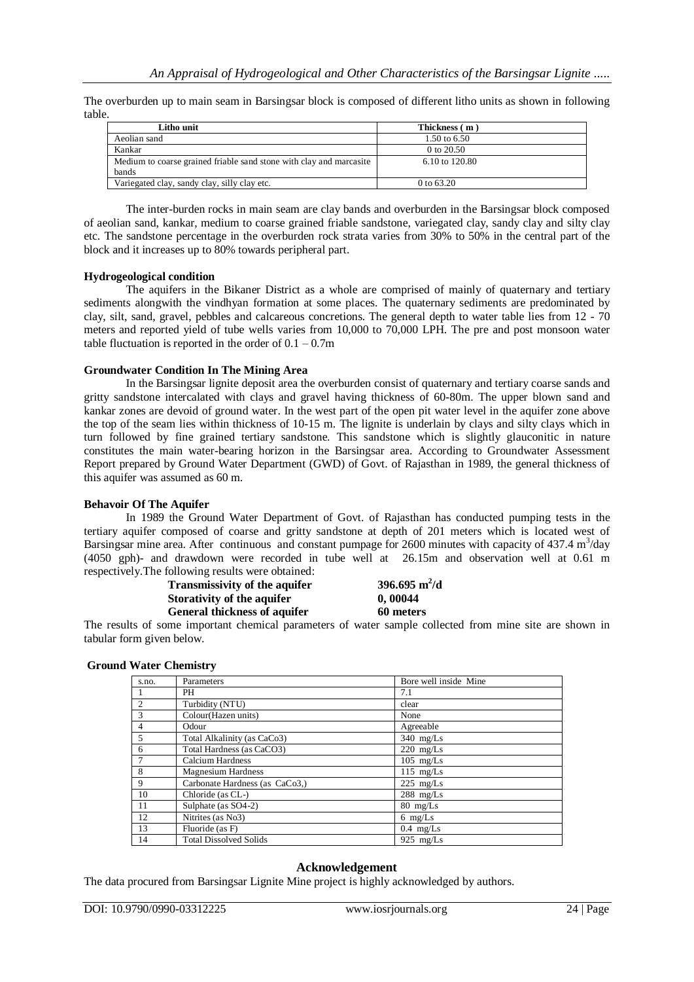The overburden up to main seam in Barsingsar block is composed of different litho units as shown in following table.

| Litho unit                                                          | Thickness (m)  |
|---------------------------------------------------------------------|----------------|
| Aeolian sand                                                        | 1.50 to 6.50   |
| Kankar                                                              | 0 to $20.50$   |
| Medium to coarse grained friable sand stone with clay and marcasite | 6.10 to 120.80 |
| bands                                                               |                |
| Variegated clay, sandy clay, silly clay etc.                        | 0 to 63.20     |
|                                                                     |                |

The inter-burden rocks in main seam are clay bands and overburden in the Barsingsar block composed of aeolian sand, kankar, medium to coarse grained friable sandstone, variegated clay, sandy clay and silty clay etc. The sandstone percentage in the overburden rock strata varies from 30% to 50% in the central part of the block and it increases up to 80% towards peripheral part.

## **Hydrogeological condition**

The aquifers in the Bikaner District as a whole are comprised of mainly of quaternary and tertiary sediments alongwith the vindhyan formation at some places. The quaternary sediments are predominated by clay, silt, sand, gravel, pebbles and calcareous concretions. The general depth to water table lies from 12 - 70 meters and reported yield of tube wells varies from 10,000 to 70,000 LPH. The pre and post monsoon water table fluctuation is reported in the order of  $0.1 - 0.7$ m

## **Groundwater Condition In The Mining Area**

In the Barsingsar lignite deposit area the overburden consist of quaternary and tertiary coarse sands and gritty sandstone intercalated with clays and gravel having thickness of 60-80m. The upper blown sand and kankar zones are devoid of ground water. In the west part of the open pit water level in the aquifer zone above the top of the seam lies within thickness of 10-15 m. The lignite is underlain by clays and silty clays which in turn followed by fine grained tertiary sandstone. This sandstone which is slightly glauconitic in nature constitutes the main water-bearing horizon in the Barsingsar area. According to Groundwater Assessment Report prepared by Ground Water Department (GWD) of Govt. of Rajasthan in 1989, the general thickness of this aquifer was assumed as 60 m.

## **Behavoir Of The Aquifer**

In 1989 the Ground Water Department of Govt. of Rajasthan has conducted pumping tests in the tertiary aquifer composed of coarse and gritty sandstone at depth of 201 meters which is located west of Barsingsar mine area. After continuous and constant pumpage for 2600 minutes with capacity of  $437.4 \text{ m}^3/\text{day}$ (4050 gph)- and drawdown were recorded in tube well at 26.15m and observation well at 0.61 m respectively.The following results were obtained:

| <b>Transmissivity of the aquifer</b> | 396.695 $m^2/d$ |
|--------------------------------------|-----------------|
| Storativity of the aquifer           | 0,00044         |
| General thickness of aquifer         | 60 meters       |

The results of some important chemical parameters of water sample collected from mine site are shown in tabular form given below.

## **Ground Water Chemistry**

| s.no.          | Parameters                     | Bore well inside Mine |
|----------------|--------------------------------|-----------------------|
|                | <b>PH</b>                      | 7.1                   |
| $\overline{2}$ | Turbidity (NTU)                | clear                 |
| 3              | Colour(Hazen units)            | None                  |
| $\overline{4}$ | Odour                          | Agreeable             |
| 5              | Total Alkalinity (as CaCo3)    | $340$ mg/Ls           |
| 6              | Total Hardness (as CaCO3)      | $220$ mg/Ls           |
| 7              | <b>Calcium Hardness</b>        | $105$ mg/Ls           |
| 8              | <b>Magnesium Hardness</b>      | $115$ mg/Ls           |
| 9              | Carbonate Hardness (as CaCo3,) | $225$ mg/Ls           |
| 10             | Chloride (as CL-)              | $288$ mg/Ls           |
| 11             | Sulphate (as SO4-2)            | $80$ mg/Ls            |
| 12             | Nitrites (as No3)              | $6 \text{ mg/Ls}$     |
| 13             | Fluoride (as F)                | $0.4$ mg/Ls           |
| 14             | <b>Total Dissolved Solids</b>  | 925 $mg/Ls$           |

## **Acknowledgement**

The data procured from Barsingsar Lignite Mine project is highly acknowledged by authors.